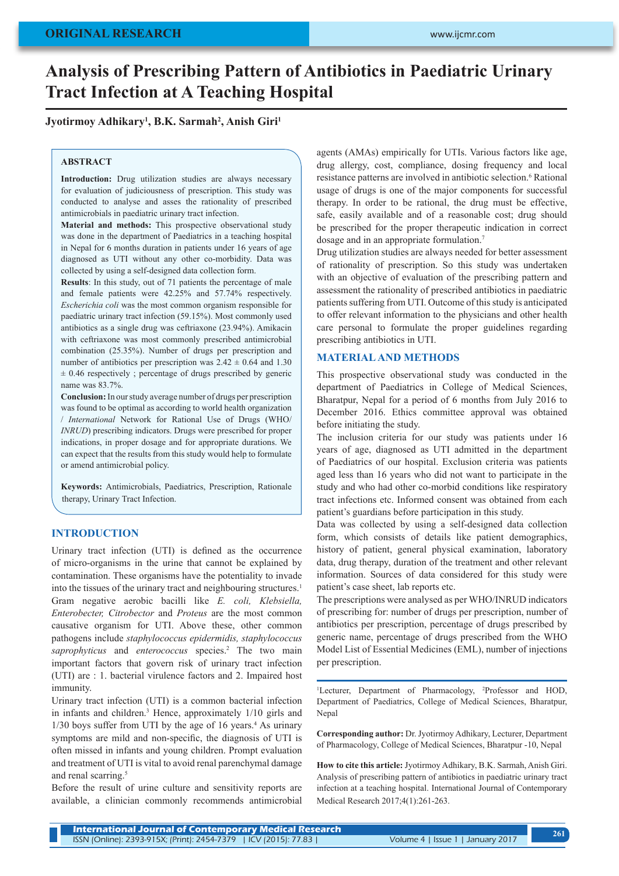# **Analysis of Prescribing Pattern of Antibiotics in Paediatric Urinary Tract Infection at A Teaching Hospital**

## **Jyotirmoy Adhikary1 , B.K. Sarmah2 , Anish Giri1**

#### **ABSTRACT**

**Introduction:** Drug utilization studies are always necessary for evaluation of judiciousness of prescription. This study was conducted to analyse and asses the rationality of prescribed antimicrobials in paediatric urinary tract infection.

**Material and methods:** This prospective observational study was done in the department of Paediatrics in a teaching hospital in Nepal for 6 months duration in patients under 16 years of age diagnosed as UTI without any other co-morbidity. Data was collected by using a self-designed data collection form.

**Results**: In this study, out of 71 patients the percentage of male and female patients were 42.25% and 57.74% respectively. *Escherichia coli* was the most common organism responsible for paediatric urinary tract infection (59.15%). Most commonly used antibiotics as a single drug was ceftriaxone (23.94%). Amikacin with ceftriaxone was most commonly prescribed antimicrobial combination (25.35%). Number of drugs per prescription and number of antibiotics per prescription was  $2.42 \pm 0.64$  and 1.30  $\pm$  0.46 respectively ; percentage of drugs prescribed by generic name was 83.7%.

**Conclusion:** In our study average number of drugs per prescription was found to be optimal as according to world health organization / *International* Network for Rational Use of Drugs (WHO/ *INRUD*) prescribing indicators. Drugs were prescribed for proper indications, in proper dosage and for appropriate durations. We can expect that the results from this study would help to formulate or amend antimicrobial policy.

**Keywords:** Antimicrobials, Paediatrics, Prescription, Rationale therapy, Urinary Tract Infection.

## **INTRODUCTION**

Urinary tract infection (UTI) is defined as the occurrence of micro-organisms in the urine that cannot be explained by contamination. These organisms have the potentiality to invade into the tissues of the urinary tract and neighbouring structures.<sup>1</sup> Gram negative aerobic bacilli like *E. coli, Klebsiella, Enterobecter, Citrobector* and *Proteus* are the most common causative organism for UTI. Above these, other common pathogens include *staphylococcus epidermidis, staphylococcus*  saprophyticus and *enterococcus* species.<sup>2</sup> The two main important factors that govern risk of urinary tract infection (UTI) are : 1. bacterial virulence factors and 2. Impaired host immunity.

Urinary tract infection (UTI) is a common bacterial infection in infants and children.<sup>3</sup> Hence, approximately 1/10 girls and  $1/30$  boys suffer from UTI by the age of 16 years.<sup>4</sup> As urinary symptoms are mild and non-specific, the diagnosis of UTI is often missed in infants and young children. Prompt evaluation and treatment of UTI is vital to avoid renal parenchymal damage and renal scarring.<sup>5</sup>

Before the result of urine culture and sensitivity reports are available, a clinician commonly recommends antimicrobial agents (AMAs) empirically for UTIs. Various factors like age, drug allergy, cost, compliance, dosing frequency and local resistance patterns are involved in antibiotic selection.<sup>6</sup> Rational usage of drugs is one of the major components for successful therapy. In order to be rational, the drug must be effective, safe, easily available and of a reasonable cost; drug should be prescribed for the proper therapeutic indication in correct dosage and in an appropriate formulation.7

Drug utilization studies are always needed for better assessment of rationality of prescription. So this study was undertaken with an objective of evaluation of the prescribing pattern and assessment the rationality of prescribed antibiotics in paediatric patients suffering from UTI. Outcome of this study is anticipated to offer relevant information to the physicians and other health care personal to formulate the proper guidelines regarding prescribing antibiotics in UTI.

#### **MATERIAL AND METHODS**

This prospective observational study was conducted in the department of Paediatrics in College of Medical Sciences, Bharatpur, Nepal for a period of 6 months from July 2016 to December 2016. Ethics committee approval was obtained before initiating the study.

The inclusion criteria for our study was patients under 16 years of age, diagnosed as UTI admitted in the department of Paediatrics of our hospital. Exclusion criteria was patients aged less than 16 years who did not want to participate in the study and who had other co-morbid conditions like respiratory tract infections etc. Informed consent was obtained from each patient's guardians before participation in this study.

Data was collected by using a self-designed data collection form, which consists of details like patient demographics, history of patient, general physical examination, laboratory data, drug therapy, duration of the treatment and other relevant information. Sources of data considered for this study were patient's case sheet, lab reports etc.

The prescriptions were analysed as per WHO/INRUD indicators of prescribing for: number of drugs per prescription, number of antibiotics per prescription, percentage of drugs prescribed by generic name, percentage of drugs prescribed from the WHO Model List of Essential Medicines (EML), number of injections per prescription.

<sup>1</sup>Lecturer, Department of Pharmacology, <sup>2</sup>Professor and HOD, Department of Paediatrics, College of Medical Sciences, Bharatpur, Nepal

**Corresponding author:** Dr. Jyotirmoy Adhikary, Lecturer, Department of Pharmacology, College of Medical Sciences, Bharatpur -10, Nepal

**How to cite this article:** Jyotirmoy Adhikary, B.K. Sarmah, Anish Giri. Analysis of prescribing pattern of antibiotics in paediatric urinary tract infection at a teaching hospital. International Journal of Contemporary Medical Research 2017;4(1):261-263.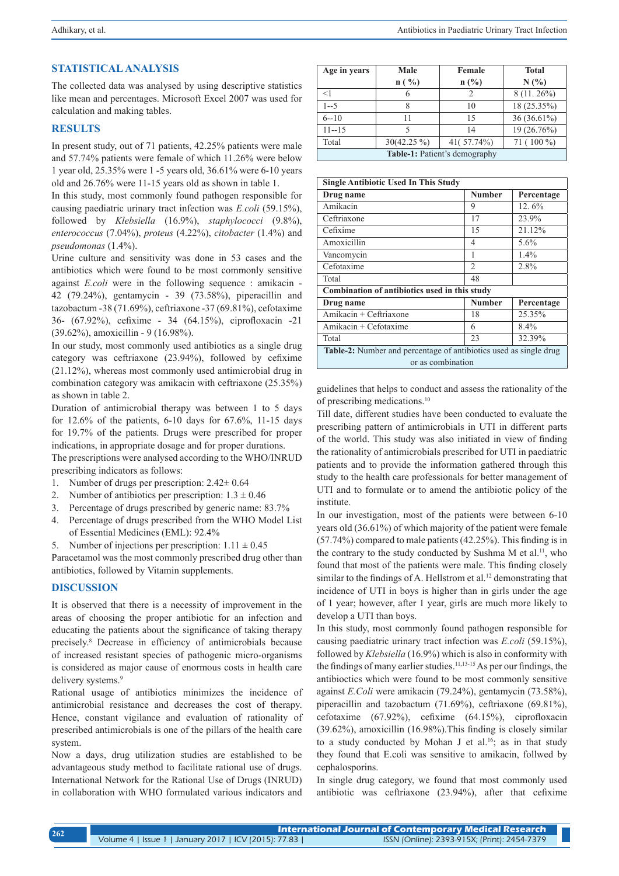## **STATISTICAL ANALYSIS**

The collected data was analysed by using descriptive statistics like mean and percentages. Microsoft Excel 2007 was used for calculation and making tables.

### **RESULTS**

In present study, out of 71 patients, 42.25% patients were male and 57.74% patients were female of which 11.26% were below 1 year old, 25.35% were 1 -5 years old, 36.61% were 6-10 years old and 26.76% were 11-15 years old as shown in table 1.

In this study, most commonly found pathogen responsible for causing paediatric urinary tract infection was *E.coli* (59.15%), followed by *Klebsiella* (16.9%), *staphylococci* (9.8%), *enterococcus* (7.04%), *proteus* (4.22%), *citobacter* (1.4%) and *pseudomonas* (1.4%).

Urine culture and sensitivity was done in 53 cases and the antibiotics which were found to be most commonly sensitive against *E.coli* were in the following sequence : amikacin - 42 (79.24%), gentamycin - 39 (73.58%), piperacillin and tazobactum -38 (71.69%), ceftriaxone -37 (69.81%), cefotaxime 36- (67.92%), cefixime - 34 (64.15%), ciprofloxacin -21 (39.62%), amoxicillin - 9 (16.98%).

In our study, most commonly used antibiotics as a single drug category was ceftriaxone (23.94%), followed by cefixime (21.12%), whereas most commonly used antimicrobial drug in combination category was amikacin with ceftriaxone (25.35%) as shown in table 2.

Duration of antimicrobial therapy was between 1 to 5 days for 12.6% of the patients, 6-10 days for 67.6%, 11-15 days for 19.7% of the patients. Drugs were prescribed for proper indications, in appropriate dosage and for proper durations. The prescriptions were analysed according to the WHO/INRUD

prescribing indicators as follows:

- 1. Number of drugs per prescription: 2.42± 0.64
- 2. Number of antibiotics per prescription:  $1.3 \pm 0.46$
- 3. Percentage of drugs prescribed by generic name: 83.7%
- 4. Percentage of drugs prescribed from the WHO Model List of Essential Medicines (EML): 92.4%
- 5. Number of injections per prescription:  $1.11 \pm 0.45$

Paracetamol was the most commonly prescribed drug other than antibiotics, followed by Vitamin supplements.

## **DISCUSSION**

It is observed that there is a necessity of improvement in the areas of choosing the proper antibiotic for an infection and educating the patients about the significance of taking therapy precisely.8 Decrease in efficiency of antimicrobials because of increased resistant species of pathogenic micro-organisms is considered as major cause of enormous costs in health care delivery systems.<sup>9</sup>

Rational usage of antibiotics minimizes the incidence of antimicrobial resistance and decreases the cost of therapy. Hence, constant vigilance and evaluation of rationality of prescribed antimicrobials is one of the pillars of the health care system.

Now a days, drug utilization studies are established to be advantageous study method to facilitate rational use of drugs. International Network for the Rational Use of Drugs (INRUD) in collaboration with WHO formulated various indicators and

| Age in years                  | Male<br>$n(^{9}/_{0})$ | Female<br>$n(^{0}/_{0})$ | <b>Total</b><br>N(%) |  |
|-------------------------------|------------------------|--------------------------|----------------------|--|
| $<$ 1                         | 6                      | $\mathfrak{D}$           | $8(11.26\%)$         |  |
| $1 - 5$                       |                        | 10                       | 18 (25.35%)          |  |
| $6 - 10$                      | 11                     | 15                       | 36 (36.61%)          |  |
| $11 - 15$                     |                        | 14                       | 19 (26.76%)          |  |
| Total                         | $30(42.25\%)$          | 41(57.74%)               | 71 (100 %)           |  |
| Table-1: Patient's demography |                        |                          |                      |  |

| <b>Single Antibiotic Used In This Study</b>                                            |                |            |  |  |
|----------------------------------------------------------------------------------------|----------------|------------|--|--|
| Drug name                                                                              | <b>Number</b>  | Percentage |  |  |
| Amikacin                                                                               | 9              | 12.6%      |  |  |
| Ceftriaxone                                                                            | 17             | 23.9%      |  |  |
| Cefixime                                                                               | 15             | 21.12%     |  |  |
| Amoxicillin                                                                            | 4              | 5.6%       |  |  |
| Vancomycin                                                                             | 1              | 1.4%       |  |  |
| Cefotaxime                                                                             | $\overline{2}$ | 2.8%       |  |  |
| Total                                                                                  | 48             |            |  |  |
| Combination of antibiotics used in this study                                          |                |            |  |  |
| Drug name                                                                              | <b>Number</b>  | Percentage |  |  |
| Amikacin + Ceftriaxone                                                                 | 18             | 25.35%     |  |  |
| Amikacin + Cefotaxime                                                                  | 6              | $8.4\%$    |  |  |
| Total                                                                                  | 23             | 32.39%     |  |  |
| Table-2: Number and percentage of antibiotics used as single drug<br>or as combination |                |            |  |  |

guidelines that helps to conduct and assess the rationality of the of prescribing medications.10

Till date, different studies have been conducted to evaluate the prescribing pattern of antimicrobials in UTI in different parts of the world. This study was also initiated in view of finding the rationality of antimicrobials prescribed for UTI in paediatric patients and to provide the information gathered through this study to the health care professionals for better management of UTI and to formulate or to amend the antibiotic policy of the institute.

In our investigation, most of the patients were between 6-10 years old (36.61%) of which majority of the patient were female (57.74%) compared to male patients (42.25%). This finding is in the contrary to the study conducted by Sushma M et al.<sup>11</sup>, who found that most of the patients were male. This finding closely similar to the findings of A. Hellstrom et al.<sup>12</sup> demonstrating that incidence of UTI in boys is higher than in girls under the age of 1 year; however, after 1 year, girls are much more likely to develop a UTI than boys.

In this study, most commonly found pathogen responsible for causing paediatric urinary tract infection was *E.coli* (59.15%), followed by *Klebsiella* (16.9%) which is also in conformity with the findings of many earlier studies.<sup>11,13-15</sup> As per our findings, the antibioctics which were found to be most commonly sensitive against *E.Coli* were amikacin (79.24%), gentamycin (73.58%), piperacillin and tazobactum (71.69%), ceftriaxone (69.81%), cefotaxime (67.92%), cefixime (64.15%), ciprofloxacin (39.62%), amoxicillin (16.98%).This finding is closely similar to a study conducted by Mohan J et al.<sup>16</sup>; as in that study they found that E.coli was sensitive to amikacin, follwed by cephalosporins.

In single drug category, we found that most commonly used antibiotic was ceftriaxone (23.94%), after that cefixime